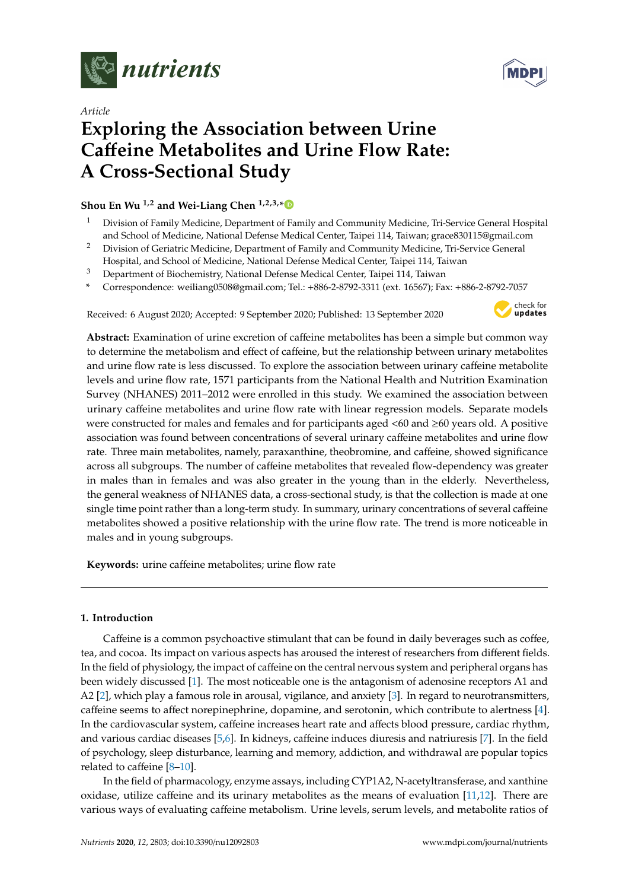

*Article*



# **Exploring the Association between Urine Ca**ff**eine Metabolites and Urine Flow Rate: A Cross-Sectional Study**

**Shou En Wu 1,2 and Wei-Liang Chen 1,2,3,[\\*](https://orcid.org/0000-0003-0784-230X)**

- <sup>1</sup> Division of Family Medicine, Department of Family and Community Medicine, Tri-Service General Hospital and School of Medicine, National Defense Medical Center, Taipei 114, Taiwan; grace830115@gmail.com
- <sup>2</sup> Division of Geriatric Medicine, Department of Family and Community Medicine, Tri-Service General
- Hospital, and School of Medicine, National Defense Medical Center, Taipei 114, Taiwan
- <sup>3</sup> Department of Biochemistry, National Defense Medical Center, Taipei 114, Taiwan
- **\*** Correspondence: weiliang0508@gmail.com; Tel.: +886-2-8792-3311 (ext. 16567); Fax: +886-2-8792-7057

Received: 6 August 2020; Accepted: 9 September 2020; Published: 13 September 2020



**Abstract:** Examination of urine excretion of caffeine metabolites has been a simple but common way to determine the metabolism and effect of caffeine, but the relationship between urinary metabolites and urine flow rate is less discussed. To explore the association between urinary caffeine metabolite levels and urine flow rate, 1571 participants from the National Health and Nutrition Examination Survey (NHANES) 2011–2012 were enrolled in this study. We examined the association between urinary caffeine metabolites and urine flow rate with linear regression models. Separate models were constructed for males and females and for participants aged <60 and ≥60 years old. A positive association was found between concentrations of several urinary caffeine metabolites and urine flow rate. Three main metabolites, namely, paraxanthine, theobromine, and caffeine, showed significance across all subgroups. The number of caffeine metabolites that revealed flow-dependency was greater in males than in females and was also greater in the young than in the elderly. Nevertheless, the general weakness of NHANES data, a cross-sectional study, is that the collection is made at one single time point rather than a long-term study. In summary, urinary concentrations of several caffeine metabolites showed a positive relationship with the urine flow rate. The trend is more noticeable in males and in young subgroups.

**Keywords:** urine caffeine metabolites; urine flow rate

# **1. Introduction**

Caffeine is a common psychoactive stimulant that can be found in daily beverages such as coffee, tea, and cocoa. Its impact on various aspects has aroused the interest of researchers from different fields. In the field of physiology, the impact of caffeine on the central nervous system and peripheral organs has been widely discussed [\[1\]](#page-14-0). The most noticeable one is the antagonism of adenosine receptors A1 and A2 [\[2\]](#page-14-1), which play a famous role in arousal, vigilance, and anxiety [\[3\]](#page-14-2). In regard to neurotransmitters, caffeine seems to affect norepinephrine, dopamine, and serotonin, which contribute to alertness [\[4\]](#page-14-3). In the cardiovascular system, caffeine increases heart rate and affects blood pressure, cardiac rhythm, and various cardiac diseases [\[5,](#page-14-4)[6\]](#page-14-5). In kidneys, caffeine induces diuresis and natriuresis [\[7\]](#page-14-6). In the field of psychology, sleep disturbance, learning and memory, addiction, and withdrawal are popular topics related to caffeine [\[8](#page-14-7)[–10\]](#page-14-8).

In the field of pharmacology, enzyme assays, including CYP1A2, N-acetyltransferase, and xanthine oxidase, utilize caffeine and its urinary metabolites as the means of evaluation  $[11,12]$  $[11,12]$ . There are various ways of evaluating caffeine metabolism. Urine levels, serum levels, and metabolite ratios of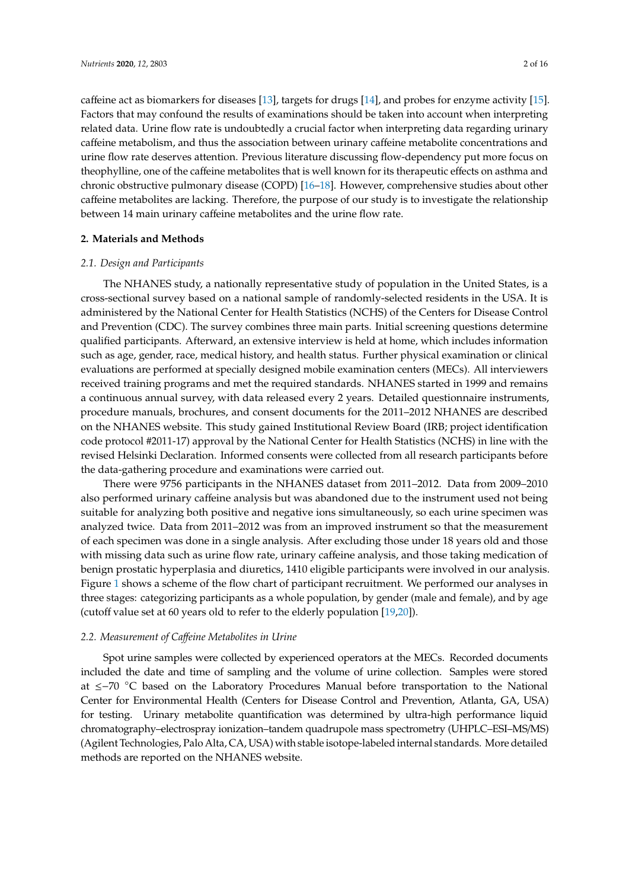caffeine act as biomarkers for diseases [\[13\]](#page-15-0), targets for drugs [\[14\]](#page-15-1), and probes for enzyme activity [\[15\]](#page-15-2). Factors that may confound the results of examinations should be taken into account when interpreting related data. Urine flow rate is undoubtedly a crucial factor when interpreting data regarding urinary caffeine metabolism, and thus the association between urinary caffeine metabolite concentrations and urine flow rate deserves attention. Previous literature discussing flow-dependency put more focus on theophylline, one of the caffeine metabolites that is well known for its therapeutic effects on asthma and chronic obstructive pulmonary disease (COPD) [\[16–](#page-15-3)[18\]](#page-15-4). However, comprehensive studies about other caffeine metabolites are lacking. Therefore, the purpose of our study is to investigate the relationship between 14 main urinary caffeine metabolites and the urine flow rate.

#### **2. Materials and Methods**

#### *2.1. Design and Participants*

The NHANES study, a nationally representative study of population in the United States, is a cross-sectional survey based on a national sample of randomly-selected residents in the USA. It is administered by the National Center for Health Statistics (NCHS) of the Centers for Disease Control and Prevention (CDC). The survey combines three main parts. Initial screening questions determine qualified participants. Afterward, an extensive interview is held at home, which includes information such as age, gender, race, medical history, and health status. Further physical examination or clinical evaluations are performed at specially designed mobile examination centers (MECs). All interviewers received training programs and met the required standards. NHANES started in 1999 and remains a continuous annual survey, with data released every 2 years. Detailed questionnaire instruments, procedure manuals, brochures, and consent documents for the 2011–2012 NHANES are described on the NHANES website. This study gained Institutional Review Board (IRB; project identification code protocol #2011-17) approval by the National Center for Health Statistics (NCHS) in line with the revised Helsinki Declaration. Informed consents were collected from all research participants before the data-gathering procedure and examinations were carried out.

There were 9756 participants in the NHANES dataset from 2011–2012. Data from 2009–2010 also performed urinary caffeine analysis but was abandoned due to the instrument used not being suitable for analyzing both positive and negative ions simultaneously, so each urine specimen was analyzed twice. Data from 2011–2012 was from an improved instrument so that the measurement of each specimen was done in a single analysis. After excluding those under 18 years old and those with missing data such as urine flow rate, urinary caffeine analysis, and those taking medication of benign prostatic hyperplasia and diuretics, 1410 eligible participants were involved in our analysis. Figure [1](#page-2-0) shows a scheme of the flow chart of participant recruitment. We performed our analyses in three stages: categorizing participants as a whole population, by gender (male and female), and by age (cutoff value set at 60 years old to refer to the elderly population [\[19](#page-15-5)[,20\]](#page-15-6)).

#### *2.2. Measurement of Ca*ff*eine Metabolites in Urine*

Spot urine samples were collected by experienced operators at the MECs. Recorded documents included the date and time of sampling and the volume of urine collection. Samples were stored at ≤−70 ◦C based on the Laboratory Procedures Manual before transportation to the National Center for Environmental Health (Centers for Disease Control and Prevention, Atlanta, GA, USA) for testing. Urinary metabolite quantification was determined by ultra-high performance liquid chromatography–electrospray ionization–tandem quadrupole mass spectrometry (UHPLC–ESI–MS/MS) (Agilent Technologies, Palo Alta, CA, USA) with stable isotope-labeled internal standards. More detailed methods are reported on the NHANES website.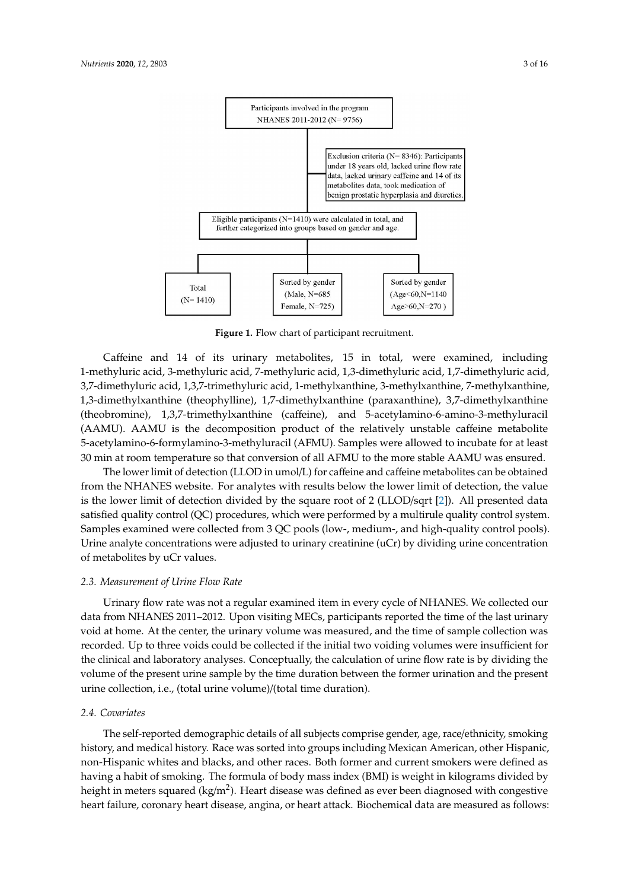<span id="page-2-0"></span>

**Figure 1.** Flow chart of participant recruitment.

Caffeine and 14 of its urinary metabolites, 15 in total, were examined, including *2.2. Measurement of Caffeine Metabolites in Urine*  3,7-dimethyluric acid, 1,3,7-trimethyluric acid, 1-methylxanthine, 3-methylxanthine, 7-methylxanthine, 1,3-dimethylxanthine (theophylline), 1,7-dimethylxanthine (paraxanthine), 3,7-dimethylxanthine (theobromine), 1,3,7-trimethylxanthine (caffeine), and 5-acetylamino-6-amino-3-methyluracil (AAMU). AAMU is the decomposition product of the relatively unstable caffeine metabolite 5-acetylamino-6-formylamino-3-methyluracil (AFMU). Samples were allowed to incubate for at least 30 min at room temperature so that conversion of all AFMU to the more stable AAMU was ensured. 1-methyluric acid, 3-methyluric acid, 7-methyluric acid, 1,3-dimethyluric acid, 1,7-dimethyluric acid,

The lower limit of detection (LLOD in umol/L) for caffeine and caffeine metabolites can be obtained from the NHANES website. For analytes with results below the lower limit of detection, the value is the lower limit of detection divided by the square root of 2 (LLOD/sqrt [\[2\]](#page-14-1)). All presented data satisfied quality control (QC) procedures, which were performed by a multirule quality control system. Samples examined were collected from 3 QC pools (low-, medium-, and high-quality control pools). Urine analyte concentrations were adjusted to urinary creatinine (uCr) by dividing urine concentration of metabolites by uCr values. The original state (paraxanthine), 3,7-dimethylxanthine (paraxanthine original state original state original state original state original state original state or  $\alpha$  or  $\alpha$  or  $\alpha$  or  $\alpha$ 

# (theobromine), 1,3,7-trimethyl $\alpha$ nthine (caffeine), and 5-amino-3-amino-3-amino-3-amino-3-methyluracides (caffeine), and 5-amino-3-amino-3-methyluracides (caffeine), and 5-amino-3-methyluracides (caffeine), and 5-amino-3 2.3. Measurement of Urine Flow Rate

Urinary flow rate was not a regular examined item in every cycle of NHANES. We collected our data from NHANES 2011–2012. Upon visiting MECs, participants reported the time of the last urinary void at home. At the center, the urinary volume was measured, and the time of sample collection was recorded. Up to three voids could be collected if the initial two voiding volumes were insufficient for the clinical and laboratory analyses. Conceptually, the calculation of urine flow rate is by dividing the volume of the present urine sample by the time duration between the former urination and the present urine collection, i.e., (total urine volume)/(total time duration).

# 2.4. Covariates

history, and medical history. Race was sorted into groups including Mexican American, other Hispanic, non-Hispanic whites and blacks, and other races. Both former and current smokers were defined as having a habit of smoking. The formula of body mass index (BMI) is weight in kilograms divided by height in meters squared (kg/m<sup>2</sup>). Heart disease was defined as ever been diagnosed with congestive heart failure, coronary heart disease, angina, or heart attack. Biochemical data are measured as follows: The self-reported demographic details of all subjects comprise gender, age, race/ethnicity, smoking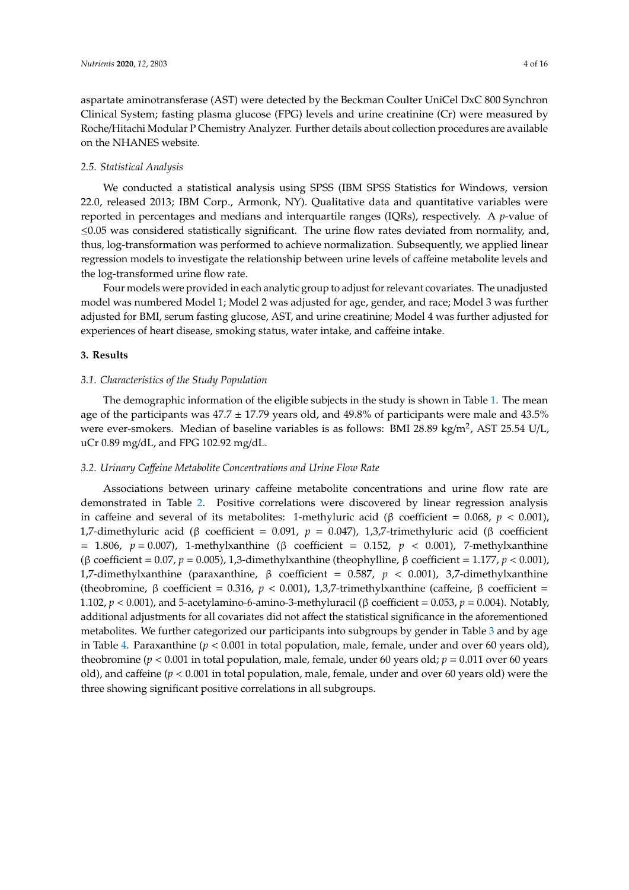aspartate aminotransferase (AST) were detected by the Beckman Coulter UniCel DxC 800 Synchron Clinical System; fasting plasma glucose (FPG) levels and urine creatinine (Cr) were measured by Roche/Hitachi Modular P Chemistry Analyzer. Further details about collection procedures are available on the NHANES website.

## *2.5. Statistical Analysis*

We conducted a statistical analysis using SPSS (IBM SPSS Statistics for Windows, version 22.0, released 2013; IBM Corp., Armonk, NY). Qualitative data and quantitative variables were reported in percentages and medians and interquartile ranges (IQRs), respectively. A *p*-value of ≤0.05 was considered statistically significant. The urine flow rates deviated from normality, and, thus, log-transformation was performed to achieve normalization. Subsequently, we applied linear regression models to investigate the relationship between urine levels of caffeine metabolite levels and the log-transformed urine flow rate.

Four models were provided in each analytic group to adjust for relevant covariates. The unadjusted model was numbered Model 1; Model 2 was adjusted for age, gender, and race; Model 3 was further adjusted for BMI, serum fasting glucose, AST, and urine creatinine; Model 4 was further adjusted for experiences of heart disease, smoking status, water intake, and caffeine intake.

# **3. Results**

### *3.1. Characteristics of the Study Population*

The demographic information of the eligible subjects in the study is shown in Table [1.](#page-4-0) The mean age of the participants was  $47.7 \pm 17.79$  years old, and  $49.8\%$  of participants were male and  $43.5\%$ were ever-smokers. Median of baseline variables is as follows: BMI 28.89 kg/m<sup>2</sup>, AST 25.54 U/L, uCr 0.89 mg/dL, and FPG 102.92 mg/dL.

# *3.2. Urinary Ca*ff*eine Metabolite Concentrations and Urine Flow Rate*

Associations between urinary caffeine metabolite concentrations and urine flow rate are demonstrated in Table [2.](#page-5-0) Positive correlations were discovered by linear regression analysis in caffeine and several of its metabolites: 1-methyluric acid (β coefficient = 0.068,  $p < 0.001$ ), 1,7-dimethyluric acid (β coefficient = 0.091, *p* = 0.047), 1,3,7-trimethyluric acid (β coefficient = 1.806, *p* = 0.007), 1-methylxanthine (β coefficient = 0.152, *p* < 0.001), 7-methylxanthine (β coefficient = 0.07, *p* = 0.005), 1,3-dimethylxanthine (theophylline, β coefficient = 1.177, *p* < 0.001), 1,7-dimethylxanthine (paraxanthine, β coefficient = 0.587, *p* < 0.001), 3,7-dimethylxanthine (theobromine, β coefficient = 0.316, *p* < 0.001), 1,3,7-trimethylxanthine (caffeine, β coefficient = 1.102, *p* < 0.001), and 5-acetylamino-6-amino-3-methyluracil (β coefficient = 0.053, *p* = 0.004). Notably, additional adjustments for all covariates did not affect the statistical significance in the aforementioned metabolites. We further categorized our participants into subgroups by gender in Table [3](#page-7-0) and by age in Table [4.](#page-9-0) Paraxanthine (*p* < 0.001 in total population, male, female, under and over 60 years old), theobromine ( $p < 0.001$  in total population, male, female, under 60 years old;  $p = 0.011$  over 60 years old), and caffeine (*p* < 0.001 in total population, male, female, under and over 60 years old) were the three showing significant positive correlations in all subgroups.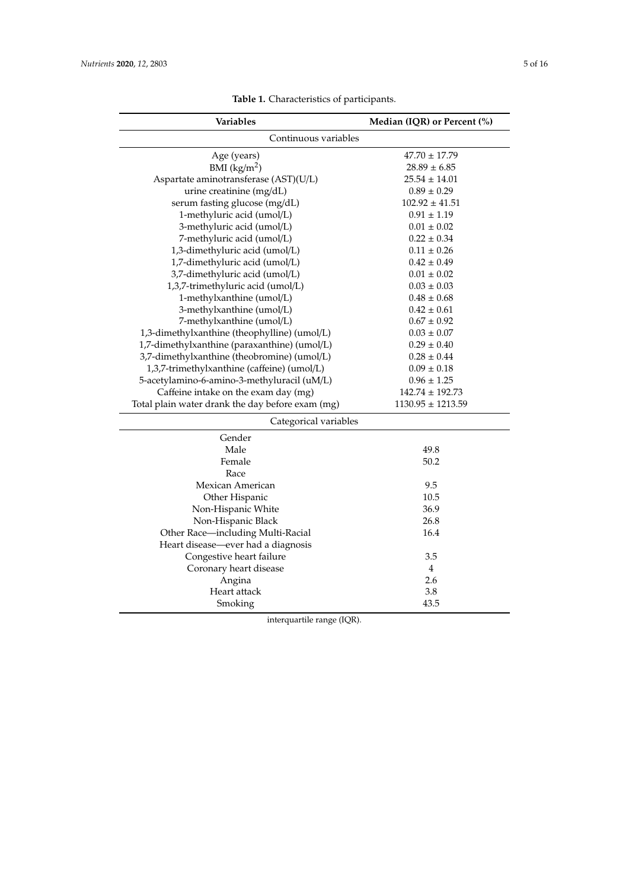<span id="page-4-0"></span>

| Variables                                        | Median (IQR) or Percent (%) |
|--------------------------------------------------|-----------------------------|
| Continuous variables                             |                             |
| Age (years)                                      | $47.70 \pm 17.79$           |
| BMI $(kg/m2)$                                    | $28.89 \pm 6.85$            |
| Aspartate aminotransferase (AST)(U/L)            | $25.54 \pm 14.01$           |
| urine creatinine (mg/dL)                         | $0.89 \pm 0.29$             |
| serum fasting glucose (mg/dL)                    | $102.92 \pm 41.51$          |
| 1-methyluric acid (umol/L)                       | $0.91 \pm 1.19$             |
| 3-methyluric acid (umol/L)                       | $0.01 \pm 0.02$             |
| 7-methyluric acid (umol/L)                       | $0.22 \pm 0.34$             |
| 1,3-dimethyluric acid (umol/L)                   | $0.11 \pm 0.26$             |
| 1,7-dimethyluric acid (umol/L)                   | $0.42 \pm 0.49$             |
| 3,7-dimethyluric acid (umol/L)                   | $0.01 \pm 0.02$             |
| 1,3,7-trimethyluric acid (umol/L)                | $0.03 \pm 0.03$             |
| 1-methylxanthine (umol/L)                        | $0.48 \pm 0.68$             |
| 3-methylxanthine (umol/L)                        | $0.42 \pm 0.61$             |
| 7-methylxanthine (umol/L)                        | $0.67 \pm 0.92$             |
| 1,3-dimethylxanthine (theophylline) (umol/L)     | $0.03 \pm 0.07$             |
| 1,7-dimethylxanthine (paraxanthine) (umol/L)     | $0.29 \pm 0.40$             |
| 3,7-dimethylxanthine (theobromine) (umol/L)      | $0.28 \pm 0.44$             |
| 1,3,7-trimethylxanthine (caffeine) (umol/L)      | $0.09 \pm 0.18$             |
| 5-acetylamino-6-amino-3-methyluracil (uM/L)      | $0.96 \pm 1.25$             |
| Caffeine intake on the exam day (mg)             | $142.74 \pm 192.73$         |
| Total plain water drank the day before exam (mg) | $1130.95 \pm 1213.59$       |
| Categorical variables                            |                             |
| Gender                                           |                             |
| Male                                             | 49.8                        |
| Female                                           | 50.2                        |
| Race                                             |                             |
| Mexican American                                 | 9.5                         |
| Other Hispanic                                   | 10.5                        |
| Non-Hispanic White                               | 36.9                        |
| Non-Hispanic Black                               | 26.8                        |
| Other Race-including Multi-Racial                | 16.4                        |
| Heart disease—ever had a diagnosis               |                             |
| Congestive heart failure                         | 3.5                         |
| Coronary heart disease                           | $\overline{4}$              |
| Angina                                           | 2.6                         |
| Heart attack                                     | 3.8                         |
| Smoking                                          | 43.5                        |

**Table 1.** Characteristics of participants.

interquartile range (IQR).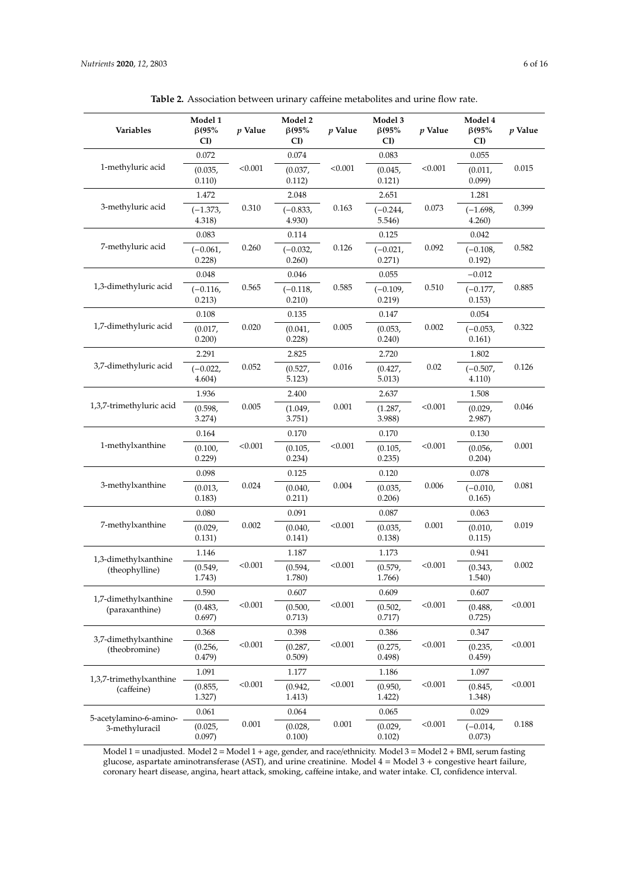<span id="page-5-0"></span>

| Variables                             | Model 1<br>$\beta$ (95%<br>CI) | $p$ Value | Model 2<br>$\beta$ (95%<br>CI) | $p$ Value | Model 3<br>$\beta$ (95%<br>CI) | $p$ Value | Model 4<br>$\beta$ (95%<br>CI) | $p$ Value |
|---------------------------------------|--------------------------------|-----------|--------------------------------|-----------|--------------------------------|-----------|--------------------------------|-----------|
|                                       | 0.072                          |           | 0.074                          |           | 0.083                          |           | 0.055                          |           |
| 1-methyluric acid                     | (0.035,<br>0.110)              | < 0.001   | (0.037,<br>0.112)              | < 0.001   | (0.045,<br>0.121)              | < 0.001   | (0.011,<br>0.099               | 0.015     |
|                                       | 1.472                          |           | 2.048                          |           | 2.651                          |           | 1.281                          |           |
| 3-methyluric acid                     | $(-1.373,$<br>4.318)           | 0.310     | $(-0.833,$<br>4.930)           | 0.163     | $(-0.244,$<br>5.546)           | 0.073     | $(-1.698,$<br>4.260            | 0.399     |
|                                       | 0.083                          |           | 0.114                          |           | 0.125                          |           | 0.042                          |           |
| 7-methyluric acid                     | $(-0.061,$<br>0.228            | 0.260     | $(-0.032,$<br>0.260)           | 0.126     | $(-0.021,$<br>0.271)           | 0.092     | $(-0.108,$<br>0.192)           | 0.582     |
|                                       | 0.048                          |           | 0.046                          |           | 0.055                          |           | $-0.012$                       |           |
| 1,3-dimethyluric acid                 | $(-0.116,$<br>0.213)           | 0.565     | $(-0.118,$<br>0.210)           | 0.585     | $(-0.109,$<br>0.219)           | 0.510     | $(-0.177,$<br>0.153)           | 0.885     |
|                                       | 0.108                          |           | 0.135                          |           | 0.147                          |           | 0.054                          |           |
| 1,7-dimethyluric acid                 | (0.017,<br>0.200)              | 0.020     | (0.041,<br>0.228               | 0.005     | (0.053,<br>0.240)              | 0.002     | $(-0.053,$<br>0.161)           | 0.322     |
|                                       | 2.291                          |           | 2.825                          |           | 2.720                          |           | 1.802                          |           |
| 3,7-dimethyluric acid                 | $(-0.022,$<br>4.604)           | 0.052     | (0.527,<br>5.123)              | 0.016     | (0.427,<br>5.013)              | 0.02      | $(-0.507,$<br>4.110)           | 0.126     |
|                                       | 1.936                          | 0.005     | 2.400                          | 0.001     | 2.637                          |           | 1.508                          |           |
| 1,3,7-trimethyluric acid              | (0.598,<br>3.274)              |           | (1.049,<br>3.751)              |           | (1.287,<br>3.988)              | < 0.001   | (0.029,<br>2.987               | 0.046     |
|                                       | 0.164                          |           | 0.170                          |           | 0.170                          |           | 0.130                          |           |
| 1-methylxanthine                      | (0.100,<br>0.229)              | < 0.001   | (0.105,<br>0.234)              | < 0.001   | (0.105,<br>0.235)              | < 0.001   | (0.056,<br>0.204)              | 0.001     |
|                                       | 0.098                          |           | 0.125                          |           | 0.120                          |           | 0.078                          |           |
| 3-methylxanthine                      | (0.013,<br>0.183)              | 0.024     | (0.040,<br>0.211)              | 0.004     | (0.035,<br>0.206)              | 0.006     | $(-0.010,$<br>0.165)           | 0.081     |
|                                       | 0.080                          |           | 0.091                          |           | 0.087                          |           | 0.063                          |           |
| 7-methylxanthine                      | (0.029,<br>0.131)              | 0.002     | (0.040,<br>0.141)              | < 0.001   | (0.035,<br>0.138)              | 0.001     | (0.010,<br>0.115)              | 0.019     |
| 1,3-dimethylxanthine                  | 1.146                          |           | 1.187                          |           | 1.173                          |           | 0.941                          |           |
| (theophylline)                        | (0.549,<br>1.743)              | < 0.001   | (0.594,<br>1.780)              | < 0.001   | (0.579,<br>1.766)              | < 0.001   | (0.343,<br>1.540)              | 0.002     |
| 1,7-dimethylxanthine                  | 0.590                          |           | 0.607                          |           | 0.609                          |           | 0.607                          |           |
| (paraxanthine)                        | (0.483,<br>0.697)              | < 0.001   | (0.500,<br>0.713)              | < 0.001   | (0.502,<br>0.717)              | < 0.001   | (0.488,<br>0.725)              | < 0.001   |
| 3,7-dimethylxanthine                  | 0.368                          |           | 0.398                          |           | 0.386                          |           | 0.347                          |           |
| (theobromine)                         | (0.256,<br>0.479)              | < 0.001   | (0.287,<br>0.509)              | < 0.001   | (0.275,<br>0.498)              | < 0.001   | (0.235,<br>0.459)              | < 0.001   |
|                                       | 1.091                          |           | 1.177                          |           | 1.186                          |           | 1.097                          |           |
| 1,3,7-trimethylxanthine<br>(caffeine) | (0.855,<br>1.327)              | < 0.001   | (0.942,<br>1.413)              | < 0.001   | (0.950,<br>1.422)              | < 0.001   | (0.845,<br>1.348)              | < 0.001   |
| 5-acetylamino-6-amino-                | 0.061                          |           | 0.064                          |           | 0.065                          |           | 0.029                          |           |
| 3-methyluracil                        | (0.025,<br>0.097)              | 0.001     | (0.028,<br>0.100)              | 0.001     | (0.029,<br>0.102)              | < 0.001   | $(-0.014,$<br>0.073)           | 0.188     |

**Table 2.** Association between urinary caffeine metabolites and urine flow rate.

Model 1 = unadjusted. Model 2 = Model 1 + age, gender, and race/ethnicity. Model 3 = Model 2 + BMI, serum fasting glucose, aspartate aminotransferase (AST), and urine creatinine. Model 4 = Model 3 + congestive heart failure, coronary heart disease, angina, heart attack, smoking, caffeine intake, and water intake. CI, confidence interval.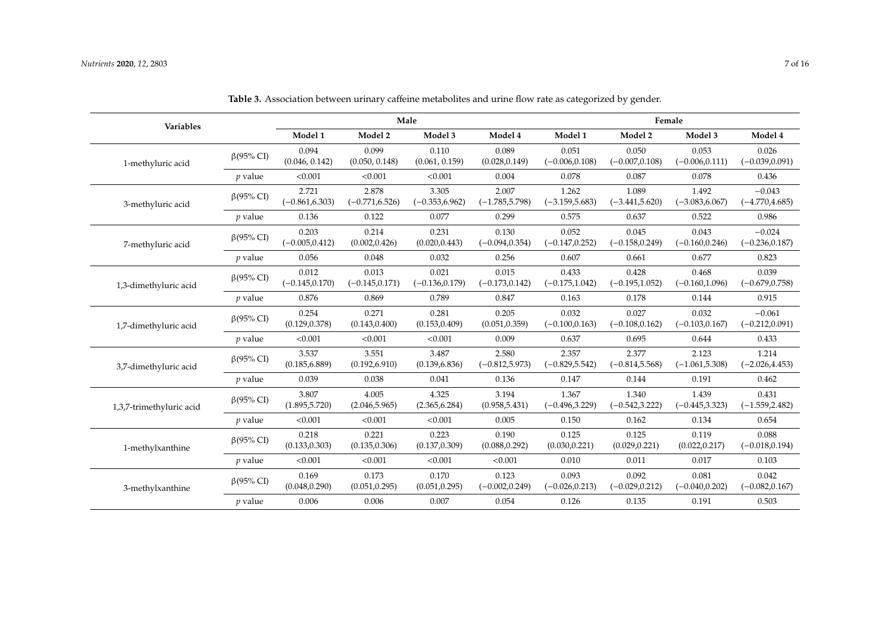| Variables                |                  |                            |                            | Male                       |                            | Female                     |                            |                            |                               |  |
|--------------------------|------------------|----------------------------|----------------------------|----------------------------|----------------------------|----------------------------|----------------------------|----------------------------|-------------------------------|--|
|                          |                  | Model 1                    | Model 2                    | Model 3                    | Model 4                    | Model 1                    | Model 2                    | Model 3                    | Model 4                       |  |
| 1-methyluric acid        | $\beta$ (95% CI) | 0.094<br>(0.046, 0.142)    | 0.099<br>(0.050, 0.148)    | 0.110<br>(0.061, 0.159)    | 0.089<br>(0.028, 0.149)    | 0.051<br>$(-0.006, 0.108)$ | 0.050<br>$(-0.007, 0.108)$ | 0.053<br>$(-0.006, 0.111)$ | 0.026<br>$(-0.039, 0.091)$    |  |
|                          | $p$ value        | < 0.001                    | < 0.001                    | < 0.001                    | 0.004                      | 0.078                      | 0.087                      | 0.078                      | 0.436                         |  |
| 3-methyluric acid        | $\beta$ (95% CI) | 2.721<br>$(-0.861, 6.303)$ | 2.878<br>$(-0.771, 6.526)$ | 3.305<br>$(-0.353, 6.962)$ | 2.007<br>$(-1.785, 5.798)$ | 1.262<br>$(-3.159, 5.683)$ | 1.089<br>$(-3.441, 5.620)$ | 1.492<br>$(-3.083, 6.067)$ | $-0.043$<br>$(-4.770, 4.685)$ |  |
|                          | $p$ value        | 0.136                      | 0.122                      | 0.077                      | 0.299                      | 0.575                      | 0.637                      | 0.522                      | 0.986                         |  |
| 7-methyluric acid        | $\beta$ (95% CI) | 0.203<br>$(-0.005, 0.412)$ | 0.214<br>(0.002, 0.426)    | 0.231<br>(0.020, 0.443)    | 0.130<br>$(-0.094, 0.354)$ | 0.052<br>$(-0.147, 0.252)$ | 0.045<br>$(-0.158, 0.249)$ | 0.043<br>$(-0.160, 0.246)$ | $-0.024$<br>$(-0.236, 0.187)$ |  |
|                          | $p$ value        | 0.056                      | 0.048                      | 0.032                      | 0.256                      | 0.607                      | 0.661                      | 0.677                      | 0.823                         |  |
| 1,3-dimethyluric acid    | $\beta$ (95% CI) | 0.012<br>$(-0.145, 0.170)$ | 0.013<br>$(-0.145, 0.171)$ | 0.021<br>$(-0.136, 0.179)$ | 0.015<br>$(-0.173, 0.142)$ | 0.433<br>$(-0.175, 1.042)$ | 0.428<br>$(-0.195, 1.052)$ | 0.468<br>$(-0.160, 1.096)$ | 0.039<br>$(-0.679, 0.758)$    |  |
|                          | $p$ value        | 0.876                      | 0.869                      | 0.789                      | 0.847                      | 0.163                      | 0.178                      | 0.144                      | 0.915                         |  |
| 1,7-dimethyluric acid    | $\beta$ (95% CI) | 0.254<br>(0.129, 0.378)    | 0.271<br>(0.143, 0.400)    | 0.281<br>(0.153, 0.409)    | 0.205<br>(0.051, 0.359)    | 0.032<br>$(-0.100, 0.163)$ | 0.027<br>$(-0.108, 0.162)$ | 0.032<br>$(-0.103, 0.167)$ | $-0.061$<br>$(-0.212, 0.091)$ |  |
|                          | $p$ value        | < 0.001                    | < 0.001                    | < 0.001                    | 0.009                      | 0.637                      | 0.695                      | 0.644                      | 0.433                         |  |
| 3,7-dimethyluric acid    | $\beta$ (95% CI) | 3.537<br>(0.185, 6.889)    | 3.551<br>(0.192, 6.910)    | 3.487<br>(0.139, 6.836)    | 2.580<br>$(-0.812, 5.973)$ | 2.357<br>$(-0.829, 5.542)$ | 2.377<br>$(-0.814, 5.568)$ | 2.123<br>$(-1.061, 5.308)$ | 1.214<br>$(-2.026, 4.453)$    |  |
|                          | $p$ value        | 0.039                      | 0.038                      | 0.041                      | 0.136                      | 0.147                      | 0.144                      | 0.191                      | 0.462                         |  |
| 1,3,7-trimethyluric acid | $\beta$ (95% CI) | 3.807<br>(1.895, 5.720)    | 4.005<br>(2.046, 5.965)    | 4.325<br>(2.365, 6.284)    | 3.194<br>(0.958, 5.431)    | 1.367<br>$(-0.496, 3.229)$ | 1.340<br>$(-0.542, 3.222)$ | 1.439<br>$(-0.445, 3.323)$ | 0.431<br>$(-1.559, 2.482)$    |  |
|                          | $p$ value        | < 0.001                    | < 0.001                    | < 0.001                    | 0.005                      | 0.150                      | 0.162                      | 0.134                      | 0.654                         |  |
| 1-methylxanthine         | $\beta$ (95% CI) | 0.218<br>(0.133, 0.303)    | 0.221<br>(0.135, 0.306)    | 0.223<br>(0.137, 0.309)    | 0.190<br>(0.088, 0.292)    | 0.125<br>(0.030, 0.221)    | 0.125<br>(0.029, 0.221)    | 0.119<br>(0.022, 0.217)    | 0.088<br>$(-0.018, 0.194)$    |  |
|                          | $p$ value        | < 0.001                    | < 0.001                    | < 0.001                    | < 0.001                    | 0.010                      | 0.011                      | 0.017                      | 0.103                         |  |
| 3-methylxanthine         | $\beta$ (95% CI) | 0.169<br>(0.048, 0.290)    | 0.173<br>(0.051, 0.295)    | 0.170<br>(0.051, 0.295)    | 0.123<br>$(-0.002, 0.249)$ | 0.093<br>$(-0.026, 0.213)$ | 0.092<br>$(-0.029, 0.212)$ | 0.081<br>$(-0.040, 0.202)$ | 0.042<br>$(-0.082, 0.167)$    |  |
|                          | $p$ value        | 0.006                      | 0.006                      | 0.007                      | 0.054                      | 0.126                      | 0.135                      | 0.191                      | 0.503                         |  |

**Table 3.** Association between urinary caffeine metabolites and urine flow rate as categorized by gender.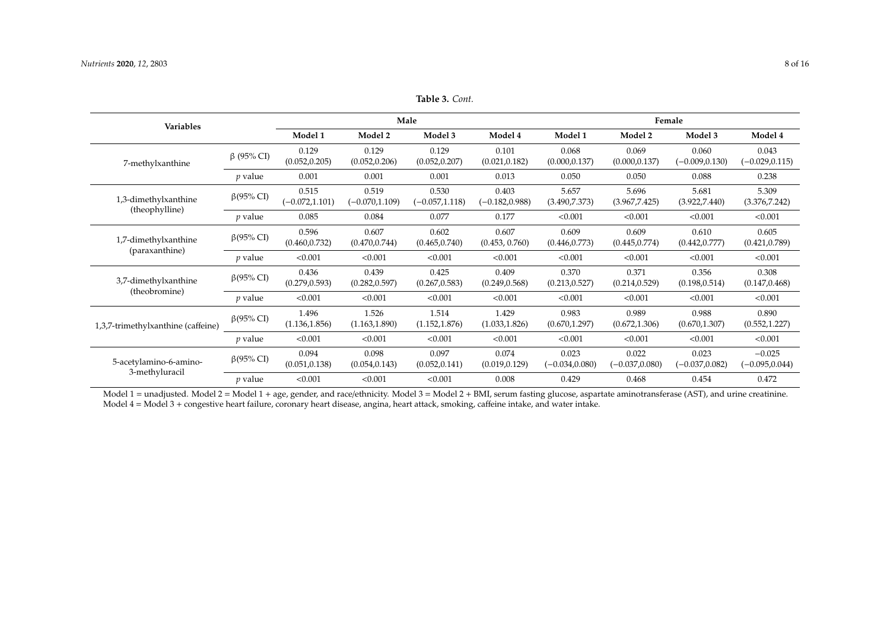| <b>Variables</b>                   |                  |                            |                            | Male                       |                            | Female                     |                            |                            |                               |  |
|------------------------------------|------------------|----------------------------|----------------------------|----------------------------|----------------------------|----------------------------|----------------------------|----------------------------|-------------------------------|--|
|                                    |                  | Model 1                    | Model 2                    | Model 3                    | Model 4                    | Model 1                    | Model 2                    | Model 3                    | Model 4                       |  |
| 7-methylxanthine                   | $β$ (95% CI)     | 0.129<br>(0.052, 0.205)    | 0.129<br>(0.052, 0.206)    | 0.129<br>(0.052, 0.207)    | 0.101<br>(0.021, 0.182)    | 0.068<br>(0.000, 0.137)    | 0.069<br>(0.000, 0.137)    | 0.060<br>$(-0.009, 0.130)$ | 0.043<br>$(-0.029, 0.115)$    |  |
|                                    | $p$ value        | 0.001                      | 0.001                      | 0.001                      | 0.013                      | 0.050                      | 0.050                      | 0.088                      | 0.238                         |  |
| 1,3-dimethylxanthine               | $\beta$ (95% CI) | 0.515<br>$(-0.072, 1.101)$ | 0.519<br>$(-0.070, 1.109)$ | 0.530<br>$(-0.057, 1.118)$ | 0.403<br>$(-0.182, 0.988)$ | 5.657<br>(3.490, 7.373)    | 5.696<br>(3.967, 7.425)    | 5.681<br>(3.922, 7.440)    | 5.309<br>(3.376, 7.242)       |  |
| (theophylline)                     | $p$ value        | 0.085                      | 0.084                      | 0.077                      | 0.177                      | < 0.001                    | < 0.001                    | < 0.001                    | < 0.001                       |  |
| 1,7-dimethylxanthine               | $\beta$ (95% CI) | 0.596<br>(0.460, 0.732)    | 0.607<br>(0.470, 0.744)    | 0.602<br>(0.465, 0.740)    | 0.607<br>(0.453, 0.760)    | 0.609<br>(0.446, 0.773)    | 0.609<br>(0.445, 0.774)    | 0.610<br>(0.442, 0.777)    | 0.605<br>(0.421, 0.789)       |  |
| (paraxanthine)                     | <i>p</i> value   | < 0.001                    | < 0.001                    | < 0.001                    | < 0.001                    | < 0.001                    | < 0.001                    | < 0.001                    | < 0.001                       |  |
| 3,7-dimethylxanthine               | $\beta$ (95% CI) | 0.436<br>(0.279, 0.593)    | 0.439<br>(0.282, 0.597)    | 0.425<br>(0.267, 0.583)    | 0.409<br>(0.249, 0.568)    | 0.370<br>(0.213, 0.527)    | 0.371<br>(0.214, 0.529)    | 0.356<br>(0.198, 0.514)    | 0.308<br>(0.147, 0.468)       |  |
| (theobromine)                      | $p$ value        | < 0.001                    | < 0.001                    | < 0.001                    | < 0.001                    | < 0.001                    | < 0.001                    | < 0.001                    | < 0.001                       |  |
| 1,3,7-trimethylxanthine (caffeine) | $\beta$ (95% CI) | 1.496<br>(1.136, 1.856)    | 1.526<br>(1.163, 1.890)    | 1.514<br>(1.152, 1.876)    | 1.429<br>(1.033, 1.826)    | 0.983<br>(0.670, 1.297)    | 0.989<br>(0.672, 1.306)    | 0.988<br>(0.670, 1.307)    | 0.890<br>(0.552, 1.227)       |  |
|                                    | $p$ value        | < 0.001                    | < 0.001                    | < 0.001                    | < 0.001                    | < 0.001                    | < 0.001                    | < 0.001                    | < 0.001                       |  |
| 5-acetylamino-6-amino-             | $\beta$ (95% CI) | 0.094<br>(0.051, 0.138)    | 0.098<br>(0.054, 0.143)    | 0.097<br>(0.052, 0.141)    | 0.074<br>(0.019, 0.129)    | 0.023<br>$(-0.034, 0.080)$ | 0.022<br>$(-0.037, 0.080)$ | 0.023<br>$(-0.037, 0.082)$ | $-0.025$<br>$(-0.095, 0.044)$ |  |
| 3-methyluracil                     | $p$ value        | < 0.001                    | < 0.001                    | < 0.001                    | 0.008                      | 0.429                      | 0.468                      | 0.454                      | 0.472                         |  |

**Table 3.** *Cont.*

<span id="page-7-0"></span>Model 1 = unadjusted. Model 2 = Model 1 + age, gender, and race/ethnicity. Model 3 = Model 2 + BMI, serum fasting glucose, aspartate aminotransferase (AST), and urine creatinine. Model 4 = Model 3 + congestive heart failure, coronary heart disease, angina, heart attack, smoking, caffeine intake, and water intake.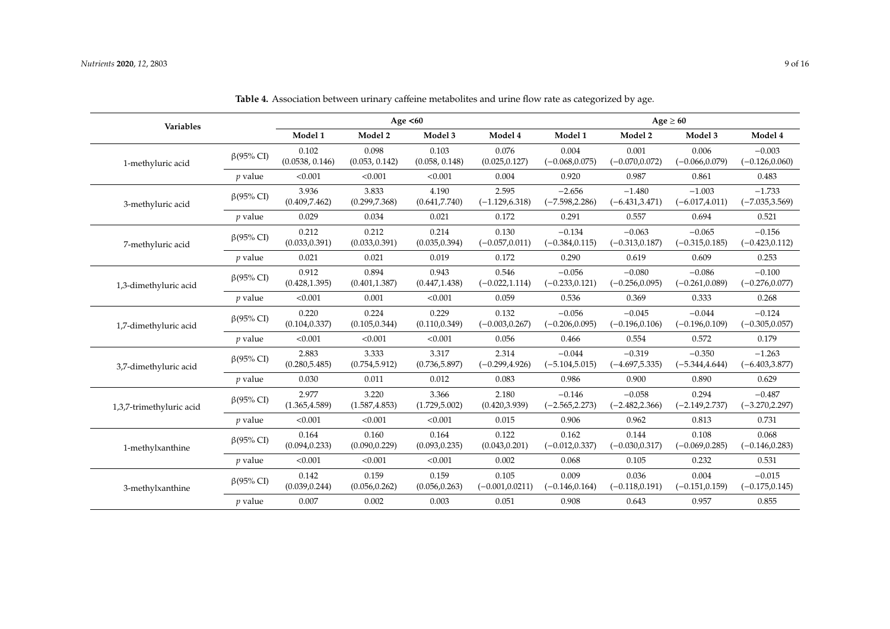| Variables                |                  |                          |                         | Age $<60$               |                             | Age $\geq 60$                 |                               |                               |                               |  |
|--------------------------|------------------|--------------------------|-------------------------|-------------------------|-----------------------------|-------------------------------|-------------------------------|-------------------------------|-------------------------------|--|
|                          |                  | Model 1                  | Model 2                 | Model 3                 | Model 4                     | Model 1                       | Model 2                       | Model 3                       | Model 4                       |  |
| 1-methyluric acid        | $\beta$ (95% CI) | 0.102<br>(0.0538, 0.146) | 0.098<br>(0.053, 0.142) | 0.103<br>(0.058, 0.148) | 0.076<br>(0.025, 0.127)     | 0.004<br>$(-0.068, 0.075)$    | 0.001<br>$(-0.070, 0.072)$    | 0.006<br>$(-0.066, 0.079)$    | $-0.003$<br>$(-0.126, 0.060)$ |  |
|                          | $p$ value        | < 0.001                  | < 0.001                 | < 0.001                 | 0.004                       | 0.920                         | 0.987                         | 0.861                         | 0.483                         |  |
| 3-methyluric acid        | $\beta$ (95% CI) | 3.936<br>(0.409, 7.462)  | 3.833<br>(0.299, 7.368) | 4.190<br>(0.641, 7.740) | 2.595<br>$(-1.129, 6.318)$  | $-2.656$<br>$(-7.598, 2.286)$ | $-1.480$<br>$(-6.431, 3.471)$ | $-1.003$<br>$(-6.017, 4.011)$ | $-1.733$<br>$(-7.035, 3.569)$ |  |
|                          | $p$ value        | 0.029                    | 0.034                   | 0.021                   | 0.172                       | 0.291                         | 0.557                         | 0.694                         | 0.521                         |  |
| 7-methyluric acid        | $\beta$ (95% CI) | 0.212<br>(0.033, 0.391)  | 0.212<br>(0.033, 0.391) | 0.214<br>(0.035, 0.394) | 0.130<br>$(-0.057, 0.011)$  | $-0.134$<br>$(-0.384, 0.115)$ | $-0.063$<br>$(-0.313, 0.187)$ | $-0.065$<br>$(-0.315, 0.185)$ | $-0.156$<br>$(-0.423, 0.112)$ |  |
|                          | $p$ value        | 0.021                    | 0.021                   | 0.019                   | 0.172                       | 0.290                         | 0.619                         | 0.609                         | 0.253                         |  |
| 1,3-dimethyluric acid    | $\beta$ (95% CI) | 0.912<br>(0.428, 1.395)  | 0.894<br>(0.401, 1.387) | 0.943<br>(0.447, 1.438) | 0.546<br>$(-0.022, 1.114)$  | $-0.056$<br>$(-0.233, 0.121)$ | $-0.080$<br>$(-0.256, 0.095)$ | $-0.086$<br>$(-0.261, 0.089)$ | $-0.100$<br>$(-0.276, 0.077)$ |  |
|                          | $p$ value        | < 0.001                  | 0.001                   | < 0.001                 | 0.059                       | 0.536                         | 0.369                         | 0.333                         | 0.268                         |  |
| 1,7-dimethyluric acid    | $\beta$ (95% CI) | 0.220<br>(0.104, 0.337)  | 0.224<br>(0.105, 0.344) | 0.229<br>(0.110, 0.349) | 0.132<br>$(-0.003, 0.267)$  | $-0.056$<br>$(-0.206, 0.095)$ | $-0.045$<br>$(-0.196, 0.106)$ | $-0.044$<br>$(-0.196, 0.109)$ | $-0.124$<br>$(-0.305, 0.057)$ |  |
|                          | $p$ value        | < 0.001                  | < 0.001                 | < 0.001                 | 0.056                       | 0.466                         | 0.554                         | 0.572                         | 0.179                         |  |
| 3,7-dimethyluric acid    | $\beta$ (95% CI) | 2.883<br>(0.280, 5.485)  | 3.333<br>(0.754, 5.912) | 3.317<br>(0.736, 5.897) | 2.314<br>$(-0.299, 4.926)$  | $-0.044$<br>$(-5.104, 5.015)$ | $-0.319$<br>$(-4.697, 5.335)$ | $-0.350$<br>$(-5.344, 4.644)$ | $-1.263$<br>$(-6.403, 3.877)$ |  |
|                          | $p$ value        | 0.030                    | 0.011                   | 0.012                   | 0.083                       | 0.986                         | 0.900                         | 0.890                         | 0.629                         |  |
| 1,3,7-trimethyluric acid | $\beta$ (95% CI) | 2.977<br>(1.365, 4.589)  | 3.220<br>(1.587, 4.853) | 3.366<br>(1.729, 5.002) | 2.180<br>(0.420, 3.939)     | $-0.146$<br>$(-2.565, 2.273)$ | $-0.058$<br>$(-2.482, 2.366)$ | 0.294<br>$(-2.149, 2.737)$    | $-0.487$<br>$(-3.270, 2.297)$ |  |
|                          | $p$ value        | < 0.001                  | < 0.001                 | < 0.001                 | 0.015                       | 0.906                         | 0.962                         | 0.813                         | 0.731                         |  |
| 1-methylxanthine         | $\beta$ (95% CI) | 0.164<br>(0.094, 0.233)  | 0.160<br>(0.090, 0.229) | 0.164<br>(0.093, 0.235) | 0.122<br>(0.043, 0.201)     | 0.162<br>$(-0.012, 0.337)$    | 0.144<br>$(-0.030, 0.317)$    | 0.108<br>$(-0.069, 0.285)$    | 0.068<br>$(-0.146, 0.283)$    |  |
|                          | $p$ value        | < 0.001                  | < 0.001                 | < 0.001                 | 0.002                       | 0.068                         | 0.105                         | 0.232                         | 0.531                         |  |
| 3-methylxanthine         | $\beta$ (95% CI) | 0.142<br>(0.039, 0.244)  | 0.159<br>(0.056, 0.262) | 0.159<br>(0.056, 0.263) | 0.105<br>$(-0.001, 0.0211)$ | 0.009<br>$(-0.146, 0.164)$    | 0.036<br>$(-0.118, 0.191)$    | 0.004<br>$(-0.151, 0.159)$    | $-0.015$<br>$(-0.175, 0.145)$ |  |
|                          | $p$ value        | 0.007                    | 0.002                   | 0.003                   | 0.051                       | 0.908                         | 0.643                         | 0.957                         | 0.855                         |  |

**Table 4.** Association between urinary caffeine metabolites and urine flow rate as categorized by age.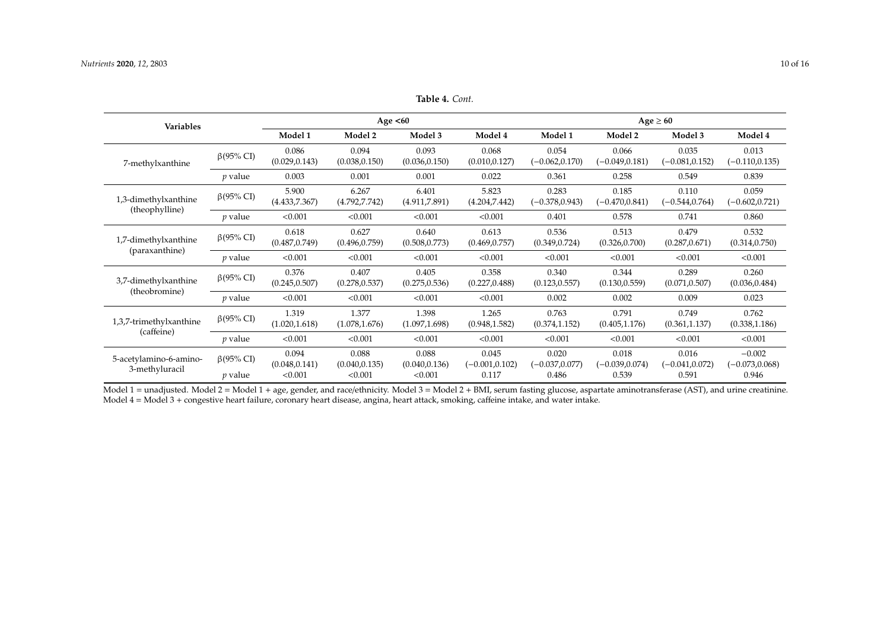| Variables                                |                               |                                    |                                    | Age $<60$                          |                                     | $Age \geq 60$                       |                                     |                                     |                                        |  |
|------------------------------------------|-------------------------------|------------------------------------|------------------------------------|------------------------------------|-------------------------------------|-------------------------------------|-------------------------------------|-------------------------------------|----------------------------------------|--|
|                                          |                               | Model 1                            | Model 2                            | Model 3                            | Model 4                             | Model 1                             | Model 2                             | Model 3                             | Model 4                                |  |
| 7-methylxanthine                         | $\beta$ (95% CI)              | 0.086<br>(0.029, 0.143)            | 0.094<br>(0.038, 0.150)            | 0.093<br>(0.036, 0.150)            | 0.068<br>(0.010, 0.127)             | 0.054<br>$(-0.062, 0.170)$          | 0.066<br>$(-0.049, 0.181)$          | 0.035<br>$(-0.081, 0.152)$          | 0.013<br>$(-0.110, 0.135)$             |  |
|                                          | $p$ value                     | 0.003                              | 0.001                              | 0.001                              | 0.022                               | 0.361                               | 0.258                               | 0.549                               | 0.839                                  |  |
| 1,3-dimethylxanthine                     | $\beta$ (95% CI)              | 5.900<br>(4.433,7.367)             | 6.267<br>(4.792, 7.742)            | 6.401<br>(4.911,7.891)             | 5.823<br>(4.204, 7.442)             | 0.283<br>$(-0.378, 0.943)$          | 0.185<br>$(-0.470, 0.841)$          | 0.110<br>$(-0.544, 0.764)$          | 0.059<br>$(-0.602, 0.721)$             |  |
| (theophylline)                           | $p$ value                     | < 0.001                            | < 0.001                            | < 0.001                            | < 0.001                             | 0.401                               | 0.578                               | 0.741                               | 0.860                                  |  |
| 1,7-dimethylxanthine                     | $\beta$ (95% CI)              | 0.618<br>(0.487, 0.749)            | 0.627<br>(0.496, 0.759)            | 0.640<br>(0.508, 0.773)            | 0.613<br>(0.469, 0.757)             | 0.536<br>(0.349, 0.724)             | 0.513<br>(0.326, 0.700)             | 0.479<br>(0.287, 0.671)             | 0.532<br>(0.314, 0.750)                |  |
| (paraxanthine)                           | $p$ value                     | < 0.001                            | < 0.001                            | < 0.001                            | < 0.001                             | < 0.001                             | < 0.001                             | < 0.001                             | < 0.001                                |  |
| 3,7-dimethylxanthine                     | $\beta$ (95% CI)              | 0.376<br>(0.245, 0.507)            | 0.407<br>(0.278, 0.537)            | 0.405<br>(0.275, 0.536)            | 0.358<br>(0.227, 0.488)             | 0.340<br>(0.123, 0.557)             | 0.344<br>(0.130, 0.559)             | 0.289<br>(0.071, 0.507)             | 0.260<br>(0.036, 0.484)                |  |
| (theobromine)                            | $p$ value                     | < 0.001                            | < 0.001                            | < 0.001                            | < 0.001                             | 0.002                               | 0.002                               | 0.009                               | 0.023                                  |  |
| 1,3,7-trimethylxanthine                  | $\beta$ (95% CI)              | 1.319<br>(1.020, 1.618)            | 1.377<br>(1.078, 1.676)            | 1.398<br>(1.097, 1.698)            | 1.265<br>(0.948, 1.582)             | 0.763<br>(0.374, 1.152)             | 0.791<br>(0.405, 1.176)             | 0.749<br>(0.361, 1.137)             | 0.762<br>(0.338, 1.186)                |  |
| (caffeine)                               | $p$ value                     | < 0.001                            | < 0.001                            | < 0.001                            | < 0.001                             | < 0.001                             | < 0.001                             | < 0.001                             | < 0.001                                |  |
| 5-acetylamino-6-amino-<br>3-methyluracil | $\beta$ (95% CI)<br>$p$ value | 0.094<br>(0.048, 0.141)<br>< 0.001 | 0.088<br>(0.040, 0.135)<br>< 0.001 | 0.088<br>(0.040, 0.136)<br>< 0.001 | 0.045<br>$(-0.001, 0.102)$<br>0.117 | 0.020<br>$(-0.037, 0.077)$<br>0.486 | 0.018<br>$(-0.039, 0.074)$<br>0.539 | 0.016<br>$(-0.041, 0.072)$<br>0.591 | $-0.002$<br>$(-0.073, 0.068)$<br>0.946 |  |

**Table 4.** *Cont.*

<span id="page-9-0"></span>Model 1 = unadjusted. Model 2 = Model 1 + age, gender, and race/ethnicity. Model 3 = Model 2 + BMI, serum fasting glucose, aspartate aminotransferase (AST), and urine creatinine. Model 4 = Model 3 + congestive heart failure, coronary heart disease, angina, heart attack, smoking, caffeine intake, and water intake.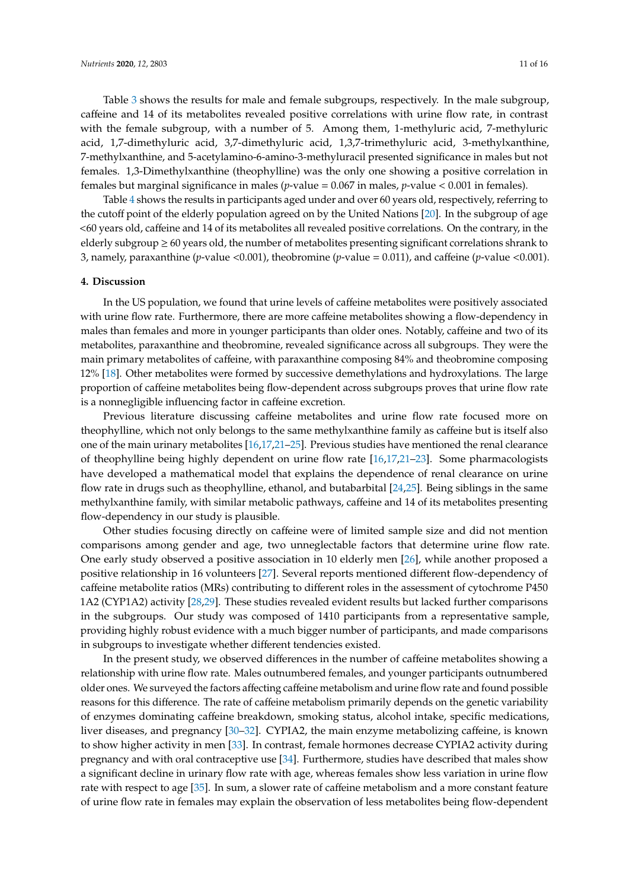Table [3](#page-7-0) shows the results for male and female subgroups, respectively. In the male subgroup, caffeine and 14 of its metabolites revealed positive correlations with urine flow rate, in contrast with the female subgroup, with a number of 5. Among them, 1-methyluric acid, 7-methyluric acid, 1,7-dimethyluric acid, 3,7-dimethyluric acid, 1,3,7-trimethyluric acid, 3-methylxanthine, 7-methylxanthine, and 5-acetylamino-6-amino-3-methyluracil presented significance in males but not females. 1,3-Dimethylxanthine (theophylline) was the only one showing a positive correlation in females but marginal significance in males (*p*-value = 0.067 in males, *p*-value < 0.001 in females).

Table [4](#page-9-0) shows the results in participants aged under and over 60 years old, respectively, referring to the cutoff point of the elderly population agreed on by the United Nations [\[20\]](#page-15-6). In the subgroup of age <60 years old, caffeine and 14 of its metabolites all revealed positive correlations. On the contrary, in the elderly subgroup  $\geq 60$  years old, the number of metabolites presenting significant correlations shrank to 3, namely, paraxanthine (*p*-value <0.001), theobromine (*p*-value = 0.011), and caffeine (*p*-value <0.001).

#### **4. Discussion**

In the US population, we found that urine levels of caffeine metabolites were positively associated with urine flow rate. Furthermore, there are more caffeine metabolites showing a flow-dependency in males than females and more in younger participants than older ones. Notably, caffeine and two of its metabolites, paraxanthine and theobromine, revealed significance across all subgroups. They were the main primary metabolites of caffeine, with paraxanthine composing 84% and theobromine composing 12% [\[18\]](#page-15-4). Other metabolites were formed by successive demethylations and hydroxylations. The large proportion of caffeine metabolites being flow-dependent across subgroups proves that urine flow rate is a nonnegligible influencing factor in caffeine excretion.

Previous literature discussing caffeine metabolites and urine flow rate focused more on theophylline, which not only belongs to the same methylxanthine family as caffeine but is itself also one of the main urinary metabolites [\[16,](#page-15-3)[17](#page-15-7)[,21–](#page-15-8)[25\]](#page-15-9). Previous studies have mentioned the renal clearance of theophylline being highly dependent on urine flow rate [\[16](#page-15-3)[,17](#page-15-7)[,21](#page-15-8)[–23\]](#page-15-10). Some pharmacologists have developed a mathematical model that explains the dependence of renal clearance on urine flow rate in drugs such as theophylline, ethanol, and butabarbital [\[24](#page-15-11)[,25\]](#page-15-9). Being siblings in the same methylxanthine family, with similar metabolic pathways, caffeine and 14 of its metabolites presenting flow-dependency in our study is plausible.

Other studies focusing directly on caffeine were of limited sample size and did not mention comparisons among gender and age, two unneglectable factors that determine urine flow rate. One early study observed a positive association in 10 elderly men [\[26\]](#page-15-12), while another proposed a positive relationship in 16 volunteers [\[27\]](#page-15-13). Several reports mentioned different flow-dependency of caffeine metabolite ratios (MRs) contributing to different roles in the assessment of cytochrome P450 1A2 (CYP1A2) activity [\[28](#page-15-14)[,29\]](#page-15-15). These studies revealed evident results but lacked further comparisons in the subgroups. Our study was composed of 1410 participants from a representative sample, providing highly robust evidence with a much bigger number of participants, and made comparisons in subgroups to investigate whether different tendencies existed.

In the present study, we observed differences in the number of caffeine metabolites showing a relationship with urine flow rate. Males outnumbered females, and younger participants outnumbered older ones. We surveyed the factors affecting caffeine metabolism and urine flow rate and found possible reasons for this difference. The rate of caffeine metabolism primarily depends on the genetic variability of enzymes dominating caffeine breakdown, smoking status, alcohol intake, specific medications, liver diseases, and pregnancy [\[30](#page-15-16)[–32\]](#page-15-17). CYPIA2, the main enzyme metabolizing caffeine, is known to show higher activity in men [\[33\]](#page-15-18). In contrast, female hormones decrease CYPIA2 activity during pregnancy and with oral contraceptive use [\[34\]](#page-15-19). Furthermore, studies have described that males show a significant decline in urinary flow rate with age, whereas females show less variation in urine flow rate with respect to age [\[35\]](#page-15-20). In sum, a slower rate of caffeine metabolism and a more constant feature of urine flow rate in females may explain the observation of less metabolites being flow-dependent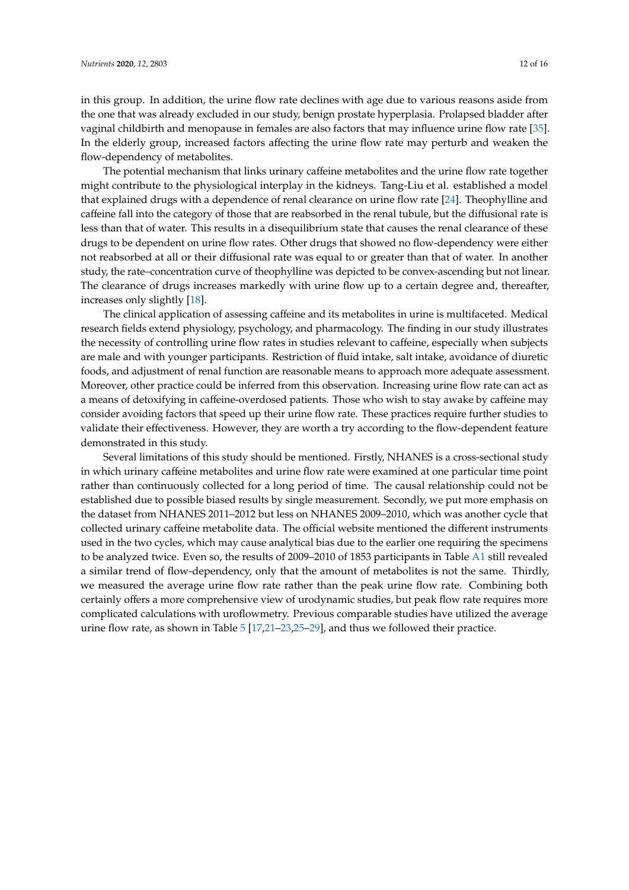in this group. In addition, the urine flow rate declines with age due to various reasons aside from the one that was already excluded in our study, benign prostate hyperplasia. Prolapsed bladder after vaginal childbirth and menopause in females are also factors that may influence urine flow rate [\[35\]](#page-15-20). In the elderly group, increased factors affecting the urine flow rate may perturb and weaken the flow-dependency of metabolites.

The potential mechanism that links urinary caffeine metabolites and the urine flow rate together might contribute to the physiological interplay in the kidneys. Tang-Liu et al. established a model that explained drugs with a dependence of renal clearance on urine flow rate [\[24\]](#page-15-11). Theophylline and caffeine fall into the category of those that are reabsorbed in the renal tubule, but the diffusional rate is less than that of water. This results in a disequilibrium state that causes the renal clearance of these drugs to be dependent on urine flow rates. Other drugs that showed no flow-dependency were either not reabsorbed at all or their diffusional rate was equal to or greater than that of water. In another study, the rate–concentration curve of theophylline was depicted to be convex-ascending but not linear. The clearance of drugs increases markedly with urine flow up to a certain degree and, thereafter, increases only slightly [\[18\]](#page-15-4).

The clinical application of assessing caffeine and its metabolites in urine is multifaceted. Medical research fields extend physiology, psychology, and pharmacology. The finding in our study illustrates the necessity of controlling urine flow rates in studies relevant to caffeine, especially when subjects are male and with younger participants. Restriction of fluid intake, salt intake, avoidance of diuretic foods, and adjustment of renal function are reasonable means to approach more adequate assessment. Moreover, other practice could be inferred from this observation. Increasing urine flow rate can act as a means of detoxifying in caffeine-overdosed patients. Those who wish to stay awake by caffeine may consider avoiding factors that speed up their urine flow rate. These practices require further studies to validate their effectiveness. However, they are worth a try according to the flow-dependent feature demonstrated in this study.

Several limitations of this study should be mentioned. Firstly, NHANES is a cross-sectional study in which urinary caffeine metabolites and urine flow rate were examined at one particular time point rather than continuously collected for a long period of time. The causal relationship could not be established due to possible biased results by single measurement. Secondly, we put more emphasis on the dataset from NHANES 2011–2012 but less on NHANES 2009–2010, which was another cycle that collected urinary caffeine metabolite data. The official website mentioned the different instruments used in the two cycles, which may cause analytical bias due to the earlier one requiring the specimens to be analyzed twice. Even so, the results of 2009–2010 of 1853 participants in Table [A1](#page-14-11) still revealed a similar trend of flow-dependency, only that the amount of metabolites is not the same. Thirdly, we measured the average urine flow rate rather than the peak urine flow rate. Combining both certainly offers a more comprehensive view of urodynamic studies, but peak flow rate requires more complicated calculations with uroflowmetry. Previous comparable studies have utilized the average urine flow rate, as shown in Table [5](#page-12-0) [\[17,](#page-15-7)[21–](#page-15-8)[23,](#page-15-10)[25](#page-15-9)[–29\]](#page-15-15), and thus we followed their practice.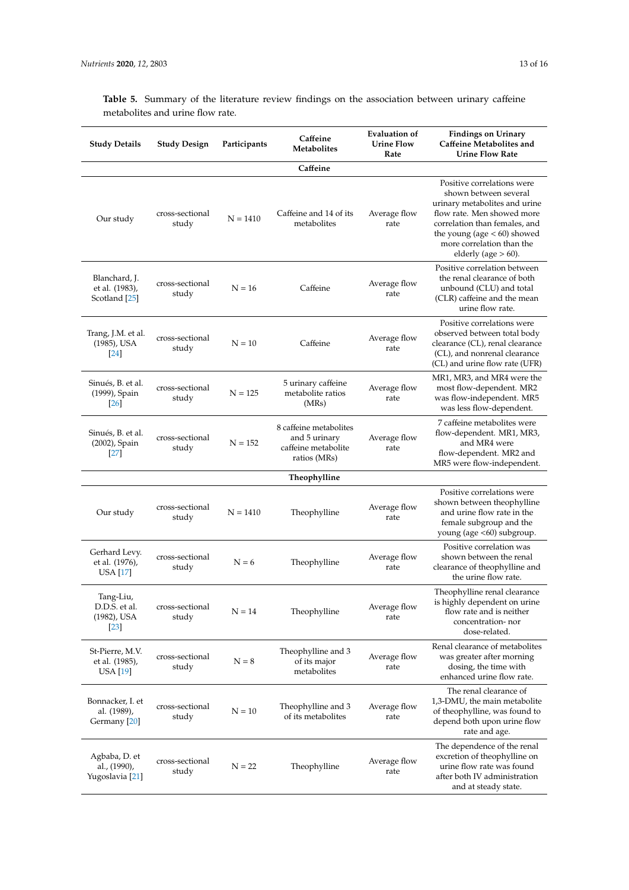<span id="page-12-0"></span>**Table 5.** Summary of the literature review findings on the association between urinary caffeine metabolites and urine flow rate.

| <b>Study Details</b>                                           | Study Design             | Participants | Caffeine<br><b>Metabolites</b>                                                 | <b>Evaluation of</b><br><b>Urine Flow</b><br>Rate | <b>Findings on Urinary</b><br>Caffeine Metabolites and<br><b>Urine Flow Rate</b>                                                                                                                                                             |
|----------------------------------------------------------------|--------------------------|--------------|--------------------------------------------------------------------------------|---------------------------------------------------|----------------------------------------------------------------------------------------------------------------------------------------------------------------------------------------------------------------------------------------------|
|                                                                |                          |              | Caffeine                                                                       |                                                   |                                                                                                                                                                                                                                              |
| Our study                                                      | cross-sectional<br>study | $N = 1410$   | Caffeine and 14 of its<br>metabolites                                          | Average flow<br>rate                              | Positive correlations were<br>shown between several<br>urinary metabolites and urine<br>flow rate. Men showed more<br>correlation than females, and<br>the young (age $< 60$ ) showed<br>more correlation than the<br>elderly (age $> 60$ ). |
| Blanchard, J.<br>et al. (1983),<br>Scotland [25]               | cross-sectional<br>study | $N = 16$     | Caffeine                                                                       | Average flow<br>rate                              | Positive correlation between<br>the renal clearance of both<br>unbound (CLU) and total<br>(CLR) caffeine and the mean<br>urine flow rate.                                                                                                    |
| Trang, J.M. et al.<br>(1985), USA<br>$\left[24\right]$         | cross-sectional<br>study | $N = 10$     | Caffeine                                                                       | Average flow<br>rate                              | Positive correlations were<br>observed between total body<br>clearance (CL), renal clearance<br>(CL), and nonrenal clearance<br>(CL) and urine flow rate (UFR)                                                                               |
| Sinués, B. et al.<br>(1999), Spain<br>[26]                     | cross-sectional<br>study | $N = 125$    | 5 urinary caffeine<br>metabolite ratios<br>(MRs)                               | Average flow<br>rate                              | MR1, MR3, and MR4 were the<br>most flow-dependent. MR2<br>was flow-independent. MR5<br>was less flow-dependent.                                                                                                                              |
| Sinués, B. et al.<br>(2002), Spain<br> 27                      | cross-sectional<br>study | $N = 152$    | 8 caffeine metabolites<br>and 5 urinary<br>caffeine metabolite<br>ratios (MRs) | Average flow<br>rate                              | 7 caffeine metabolites were<br>flow-dependent. MR1, MR3,<br>and MR4 were<br>flow-dependent. MR2 and<br>MR5 were flow-independent.                                                                                                            |
|                                                                |                          |              | Theophylline                                                                   |                                                   |                                                                                                                                                                                                                                              |
| Our study                                                      | cross-sectional<br>study | $N = 1410$   | Theophylline                                                                   | Average flow<br>rate                              | Positive correlations were<br>shown between theophylline<br>and urine flow rate in the<br>female subgroup and the<br>young (age <60) subgroup.                                                                                               |
| Gerhard Levy.<br>et al. (1976),<br>USA [17]                    | cross-sectional<br>study | $N = 6$      | Theophylline                                                                   | Average flow<br>rate                              | Positive correlation was<br>shown between the renal<br>clearance of theophylline and<br>the urine flow rate.                                                                                                                                 |
| Tang-Liu,<br>D.D.S. et al.<br>(1982), USA<br>$\left[23\right]$ | cross-sectional<br>study | $N = 14$     | Theophylline                                                                   | Average flow<br>rate                              | Theophylline renal clearance<br>is highly dependent on urine<br>flow rate and is neither<br>concentration-nor<br>dose-related.                                                                                                               |
| St-Pierre, M.V.<br>et al. (1985),<br>USA [19]                  | cross-sectional<br>study | ${\cal N}=8$ | Theophylline and 3<br>of its major<br>metabolites                              | Average flow<br>rate                              | Renal clearance of metabolites<br>was greater after morning<br>dosing, the time with<br>enhanced urine flow rate.                                                                                                                            |
| Bonnacker, I. et<br>al. (1989),<br>Germany [20]                | cross-sectional<br>study | $N = 10$     | Theophylline and 3<br>of its metabolites                                       | Average flow<br>rate                              | The renal clearance of<br>1,3-DMU, the main metabolite<br>of theophylline, was found to<br>depend both upon urine flow<br>rate and age.                                                                                                      |
| Agbaba, D. et<br>al., (1990),<br>Yugoslavia [21]               | cross-sectional<br>study | $N = 22$     | Theophylline                                                                   | Average flow<br>rate                              | The dependence of the renal<br>excretion of theophylline on<br>urine flow rate was found<br>after both IV administration<br>and at steady state.                                                                                             |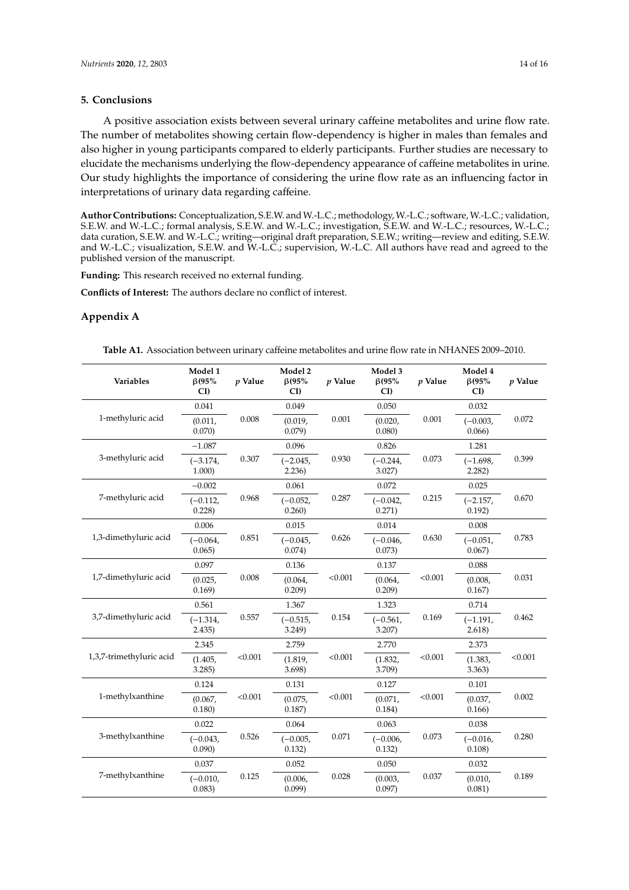## **5. Conclusions**

A positive association exists between several urinary caffeine metabolites and urine flow rate. The number of metabolites showing certain flow-dependency is higher in males than females and also higher in young participants compared to elderly participants. Further studies are necessary to elucidate the mechanisms underlying the flow-dependency appearance of caffeine metabolites in urine. Our study highlights the importance of considering the urine flow rate as an influencing factor in interpretations of urinary data regarding caffeine.

**Author Contributions:** Conceptualization, S.E.W. andW.-L.C.; methodology, W.-L.C.; software, W.-L.C.; validation, S.E.W. and W.-L.C.; formal analysis, S.E.W. and W.-L.C.; investigation, S.E.W. and W.-L.C.; resources, W.-L.C.; data curation, S.E.W. and W.-L.C.; writing—original draft preparation, S.E.W.; writing—review and editing, S.E.W. and W.-L.C.; visualization, S.E.W. and W.-L.C.; supervision, W.-L.C. All authors have read and agreed to the published version of the manuscript.

**Funding:** This research received no external funding.

**Conflicts of Interest:** The authors declare no conflict of interest.

### **Appendix A**

**Table A1.** Association between urinary caffeine metabolites and urine flow rate in NHANES 2009–2010.

| Variables                | Model 1<br>$\beta$ (95%<br>CI | $p$ Value | Model 2<br>$\beta$ (95%<br>CI) | $p$ Value | Model 3<br>$\beta$ (95%<br>CI) | $p$ Value | Model 4<br>$\beta$ (95%<br>CI | $p$ Value |
|--------------------------|-------------------------------|-----------|--------------------------------|-----------|--------------------------------|-----------|-------------------------------|-----------|
|                          | 0.041                         |           | 0.049                          |           | 0.050                          |           | 0.032                         |           |
| 1-methyluric acid        | (0.011,<br>0.070)             | 0.008     | (0.019,<br>0.079)              | 0.001     | (0.020,<br>0.080)              | 0.001     | $(-0.003,$<br>0.066           | 0.072     |
|                          | $-1.087$                      |           | 0.096                          |           | 0.826                          | 0.073     | 1.281                         |           |
| 3-methyluric acid        | $(-3.174,$<br>1.000)          | 0.307     | $(-2.045,$<br>2.236            | 0.930     | $(-0.244,$<br>$3.027$ )        |           | $(-1.698,$<br>2.282)          | 0.399     |
|                          | $-0.002$                      |           | 0.061                          |           | 0.072                          |           | 0.025                         |           |
| 7-methyluric acid        | $(-0.112,$<br>0.228           | 0.968     | $(-0.052,$<br>0.260)           | 0.287     | $(-0.042,$<br>0.271)           | 0.215     | $(-2.157,$<br>0.192)          | 0.670     |
|                          | 0.006                         |           | 0.015                          |           | 0.014                          |           | 0.008                         |           |
| 1,3-dimethyluric acid    | $(-0.064,$<br>0.065)          | 0.851     | $(-0.045,$<br>0.074)           | 0.626     | $(-0.046,$<br>0.073)           | 0.630     | $(-0.051,$<br>0.067)          | 0.783     |
|                          | 0.097                         | 0.008     | 0.136                          | < 0.001   | 0.137                          |           | 0.088                         |           |
| 1,7-dimethyluric acid    | (0.025,<br>0.169              |           | (0.064,<br>0.209               |           | (0.064,<br>0.209)              | < 0.001   | (0.008,<br>0.167              | 0.031     |
|                          | 0.561                         |           | 1.367                          |           | 1.323                          |           | 0.714                         |           |
| 3,7-dimethyluric acid    | $(-1.314,$<br>2.435)          | 0.557     | $(-0.515,$<br>3.249            | 0.154     | $(-0.561,$<br>$3.207$ )        | 0.169     | $(-1.191,$<br>2.618)          | 0.462     |
|                          | 2.345                         |           | 2.759                          |           | 2.770                          |           | 2.373                         |           |
| 1,3,7-trimethyluric acid | (1.405,<br>3.285              | < 0.001   | (1.819,<br>3.698)              | < 0.001   | (1.832,<br>3.709)              | < 0.001   | (1.383,<br>3.363)             | < 0.001   |
|                          | 0.124                         |           | 0.131                          |           | 0.127                          |           | 0.101                         |           |
| 1-methylxanthine         | (0.067,<br>0.180)             | < 0.001   | (0.075,<br>0.187)              | < 0.001   | (0.071,<br>0.184)              | < 0.001   | (0.037,<br>0.166              | 0.002     |
|                          | 0.022                         |           | 0.064                          |           | 0.063                          |           | 0.038                         |           |
| 3-methylxanthine         | $(-0.043,$<br>0.090)          | 0.526     | $(-0.005,$<br>0.132)           | 0.071     | $(-0.006,$<br>0.132)           | 0.073     | $(-0.016,$<br>0.108)          | 0.280     |
|                          | 0.037                         |           | 0.052                          |           | 0.050                          |           | 0.032                         |           |
| 7-methylxanthine         | $(-0.010,$<br>0.083)          | 0.125     | (0.006,<br>0.099               | 0.028     | (0.003,<br>0.097)              | 0.037     | (0.010,<br>0.081)             | 0.189     |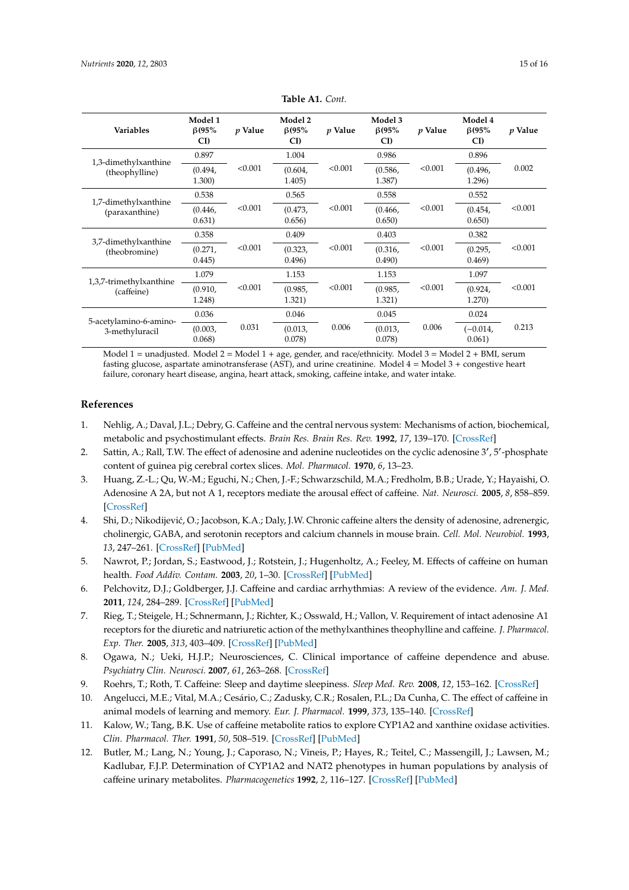<span id="page-14-11"></span>

| Variables                              | Model 1<br>$\beta$ (95%<br>CI) | p Value | Model 2<br>$\beta$ (95%<br>CI) | p Value | Model 3<br>$\beta$ (95%<br>CI) | p Value | Model 4<br>$\beta$ (95%<br>CI) | p Value |
|----------------------------------------|--------------------------------|---------|--------------------------------|---------|--------------------------------|---------|--------------------------------|---------|
| 1,3-dimethylxanthine                   | 0.897                          |         | 1.004                          |         | 0.986                          |         | 0.896                          | 0.002   |
| (theophylline)                         | (0.494,<br>1.300)              | < 0.001 | (0.604,<br>1.405)              | < 0.001 | (0.586,<br>1.387)              | < 0.001 | (0.496,<br>1.296)              |         |
|                                        | 0.538                          |         | 0.565                          |         | 0.558                          |         | 0.552                          |         |
| 1,7-dimethylxanthine<br>(paraxanthine) | (0.446,<br>0.631)              | < 0.001 | (0.473,<br>0.656)              | < 0.001 | (0.466,<br>0.650)              | < 0.001 | (0.454,<br>0.650)              | < 0.001 |
| 3,7-dimethylxanthine                   | 0.358                          | < 0.001 | 0.409                          | < 0.001 | 0.403                          | < 0.001 | 0.382                          | < 0.001 |
| (theobromine)                          | (0.271,<br>0.445)              |         | (0.323,<br>0.496)              |         | (0.316,<br>0.490)              |         | (0.295,<br>0.469)              |         |
|                                        | 1.079                          |         | 1.153                          |         | 1.153                          | < 0.001 | 1.097                          | < 0.001 |
| 1,3,7-trimethylxanthine<br>(caffeine)  | (0.910,<br>1.248)              | < 0.001 | (0.985,<br>1.321)              | < 0.001 | (0.985,<br>1.321)              |         | (0.924,<br>1.270)              |         |
| 5-acetylamino-6-amino-                 | 0.036                          |         | 0.046                          |         | 0.045                          | 0.006   | 0.024                          | 0.213   |
| 3-methyluracil                         | (0.003,<br>0.068               | 0.031   | (0.013,<br>0.078)              | 0.006   | (0.013,<br>0.078)              |         | $(-0.014,$<br>0.061)           |         |

**Table A1.** *Cont.*

Model 1 = unadjusted. Model 2 = Model 1 + age, gender, and race/ethnicity. Model 3 = Model 2 + BMI, serum fasting glucose, aspartate aminotransferase (AST), and urine creatinine. Model 4 = Model 3 + congestive heart failure, coronary heart disease, angina, heart attack, smoking, caffeine intake, and water intake.

#### **References**

- <span id="page-14-0"></span>1. Nehlig, A.; Daval, J.L.; Debry, G. Caffeine and the central nervous system: Mechanisms of action, biochemical, metabolic and psychostimulant effects. *Brain Res. Brain Res. Rev.* **1992**, *17*, 139–170. [\[CrossRef\]](http://dx.doi.org/10.1016/0165-0173(92)90012-B)
- <span id="page-14-1"></span>2. Sattin, A.; Rall, T.W. The effect of adenosine and adenine nucleotides on the cyclic adenosine 3', 5'-phosphate content of guinea pig cerebral cortex slices. *Mol. Pharmacol.* **1970**, *6*, 13–23.
- <span id="page-14-2"></span>3. Huang, Z.-L.; Qu, W.-M.; Eguchi, N.; Chen, J.-F.; Schwarzschild, M.A.; Fredholm, B.B.; Urade, Y.; Hayaishi, O. Adenosine A 2A, but not A 1, receptors mediate the arousal effect of caffeine. *Nat. Neurosci.* **2005**, *8*, 858–859. [\[CrossRef\]](http://dx.doi.org/10.1038/nn1491)
- <span id="page-14-3"></span>4. Shi, D.; Nikodijevi´c, O.; Jacobson, K.A.; Daly, J.W. Chronic caffeine alters the density of adenosine, adrenergic, cholinergic, GABA, and serotonin receptors and calcium channels in mouse brain. *Cell. Mol. Neurobiol.* **1993**, *13*, 247–261. [\[CrossRef\]](http://dx.doi.org/10.1007/BF00733753) [\[PubMed\]](http://www.ncbi.nlm.nih.gov/pubmed/8242688)
- <span id="page-14-4"></span>5. Nawrot, P.; Jordan, S.; Eastwood, J.; Rotstein, J.; Hugenholtz, A.; Feeley, M. Effects of caffeine on human health. *Food Addiv. Contam.* **2003**, *20*, 1–30. [\[CrossRef\]](http://dx.doi.org/10.1080/0265203021000007840) [\[PubMed\]](http://www.ncbi.nlm.nih.gov/pubmed/12519715)
- <span id="page-14-5"></span>6. Pelchovitz, D.J.; Goldberger, J.J. Caffeine and cardiac arrhythmias: A review of the evidence. *Am. J. Med.* **2011**, *124*, 284–289. [\[CrossRef\]](http://dx.doi.org/10.1016/j.amjmed.2010.10.017) [\[PubMed\]](http://www.ncbi.nlm.nih.gov/pubmed/21435415)
- <span id="page-14-6"></span>7. Rieg, T.; Steigele, H.; Schnermann, J.; Richter, K.; Osswald, H.; Vallon, V. Requirement of intact adenosine A1 receptors for the diuretic and natriuretic action of the methylxanthines theophylline and caffeine. *J. Pharmacol. Exp. Ther.* **2005**, *313*, 403–409. [\[CrossRef\]](http://dx.doi.org/10.1124/jpet.104.080432) [\[PubMed\]](http://www.ncbi.nlm.nih.gov/pubmed/15590766)
- <span id="page-14-7"></span>8. Ogawa, N.; Ueki, H.J.P.; Neurosciences, C. Clinical importance of caffeine dependence and abuse. *Psychiatry Clin. Neurosci.* **2007**, *61*, 263–268. [\[CrossRef\]](http://dx.doi.org/10.1111/j.1440-1819.2007.01652.x)
- 9. Roehrs, T.; Roth, T. Caffeine: Sleep and daytime sleepiness. *Sleep Med. Rev.* **2008**, *12*, 153–162. [\[CrossRef\]](http://dx.doi.org/10.1016/j.smrv.2007.07.004)
- <span id="page-14-8"></span>10. Angelucci, M.E.; Vital, M.A.; Cesário, C.; Zadusky, C.R.; Rosalen, P.L.; Da Cunha, C. The effect of caffeine in animal models of learning and memory. *Eur. J. Pharmacol.* **1999**, *373*, 135–140. [\[CrossRef\]](http://dx.doi.org/10.1016/S0014-2999(99)00225-3)
- <span id="page-14-9"></span>11. Kalow, W.; Tang, B.K. Use of caffeine metabolite ratios to explore CYP1A2 and xanthine oxidase activities. *Clin. Pharmacol. Ther.* **1991**, *50*, 508–519. [\[CrossRef\]](http://dx.doi.org/10.1038/clpt.1991.176) [\[PubMed\]](http://www.ncbi.nlm.nih.gov/pubmed/1934864)
- <span id="page-14-10"></span>12. Butler, M.; Lang, N.; Young, J.; Caporaso, N.; Vineis, P.; Hayes, R.; Teitel, C.; Massengill, J.; Lawsen, M.; Kadlubar, F.J.P. Determination of CYP1A2 and NAT2 phenotypes in human populations by analysis of caffeine urinary metabolites. *Pharmacogenetics* **1992**, *2*, 116–127. [\[CrossRef\]](http://dx.doi.org/10.1097/00008571-199206000-00003) [\[PubMed\]](http://www.ncbi.nlm.nih.gov/pubmed/1306111)